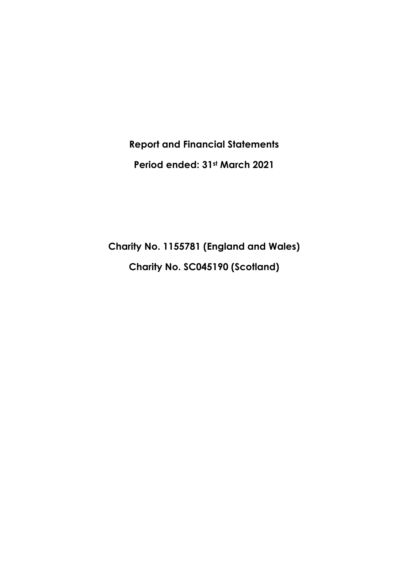**Report and Financial Statements Period ended: 31st March 2021**

**Charity No. 1155781 (England and Wales) Charity No. SC045190 (Scotland)**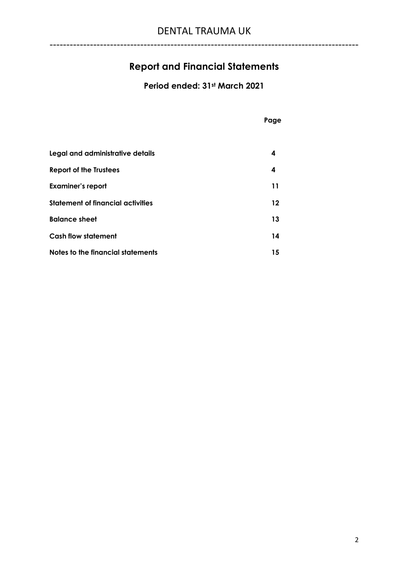# **Report and Financial Statements**

**Period ended: 31st March 2021**

|                                          | Page    |
|------------------------------------------|---------|
|                                          |         |
| Legal and administrative details         | 4       |
| <b>Report of the Trustees</b>            | 4       |
| <b>Examiner's report</b>                 | 11      |
| <b>Statement of financial activities</b> | $12 \,$ |
| <b>Balance sheet</b>                     | 13      |
| <b>Cash flow statement</b>               | 14      |
| Notes to the financial statements        | 15      |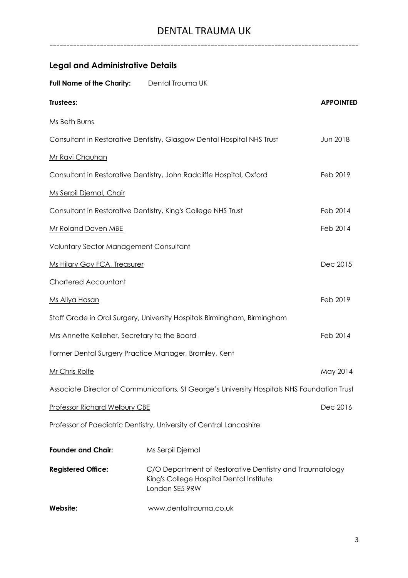| <b>Legal and Administrative Details</b>       |                                                                                                                        |                  |
|-----------------------------------------------|------------------------------------------------------------------------------------------------------------------------|------------------|
| <b>Full Name of the Charity:</b>              | Dental Trauma UK                                                                                                       |                  |
| Trustees:                                     |                                                                                                                        | <b>APPOINTED</b> |
| Ms Beth Burns                                 |                                                                                                                        |                  |
|                                               | Consultant in Restorative Dentistry, Glasgow Dental Hospital NHS Trust                                                 | Jun 2018         |
| Mr Ravi Chauhan                               |                                                                                                                        |                  |
|                                               | Consultant in Restorative Dentistry, John Radcliffe Hospital, Oxford                                                   | Feb 2019         |
| Ms Serpil Djemal, Chair                       |                                                                                                                        |                  |
|                                               | Consultant in Restorative Dentistry, King's College NHS Trust                                                          | Feb 2014         |
| Mr Roland Doven MBE                           |                                                                                                                        | Feb 2014         |
| <b>Voluntary Sector Management Consultant</b> |                                                                                                                        |                  |
| Ms Hilary Gay FCA, Treasurer                  |                                                                                                                        | Dec 2015         |
| <b>Chartered Accountant</b>                   |                                                                                                                        |                  |
| Ms Aliya Hasan                                |                                                                                                                        | Feb 2019         |
|                                               | Staff Grade in Oral Surgery, University Hospitals Birmingham, Birmingham                                               |                  |
| Mrs Annette Kelleher, Secretary to the Board  |                                                                                                                        | Feb 2014         |
|                                               | Former Dental Surgery Practice Manager, Bromley, Kent                                                                  |                  |
| Mr Chris Rolfe                                |                                                                                                                        | May 2014         |
|                                               | Associate Director of Communications, St George's University Hospitals NHS Foundation Trust                            |                  |
| <b>Professor Richard Welbury CBE</b>          |                                                                                                                        | Dec 2016         |
|                                               | Professor of Paediatric Dentistry, University of Central Lancashire                                                    |                  |
| <b>Founder and Chair:</b>                     | Ms Serpil Djemal                                                                                                       |                  |
| <b>Registered Office:</b>                     | C/O Department of Restorative Dentistry and Traumatology<br>King's College Hospital Dental Institute<br>London SE5 9RW |                  |
| Website:                                      | www.dentaltrauma.co.uk                                                                                                 |                  |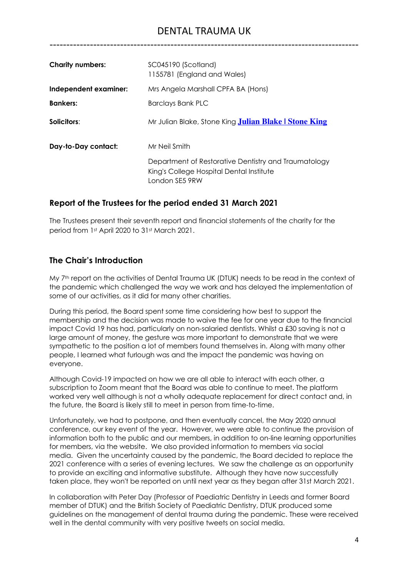# DENTAL TRAUMA UK

--------------------------------------------------------------------------------------------

| <b>Charity numbers:</b> | SC045190 (Scotland)<br>1155781 (England and Wales)                                                                 |
|-------------------------|--------------------------------------------------------------------------------------------------------------------|
| Independent examiner:   | Mrs Angela Marshall CPFA BA (Hons)                                                                                 |
| <b>Bankers:</b>         | <b>Barclays Bank PLC</b>                                                                                           |
| Solicitors:             | Mr Julian Blake, Stone King <b>Julian Blake   Stone King</b>                                                       |
| Day-to-Day contact:     | Mr Neil Smith                                                                                                      |
|                         | Department of Restorative Dentistry and Traumatology<br>King's College Hospital Dental Institute<br>London SE5 9RW |

# **Report of the Trustees for the period ended 31 March 2021**

The Trustees present their seventh report and financial statements of the charity for the period from 1st April 2020 to 31st March 2021.

# **The Chair's Introduction**

My 7<sup>th</sup> report on the activities of Dental Trauma UK (DTUK) needs to be read in the context of the pandemic which challenged the way we work and has delayed the implementation of some of our activities, as it did for many other charities.

During this period, the Board spent some time considering how best to support the membership and the decision was made to waive the fee for one year due to the financial impact Covid 19 has had, particularly on non-salaried dentists. Whilst a £30 saving is not a large amount of money, the gesture was more important to demonstrate that we were sympathetic to the position a lot of members found themselves in. Along with many other people, I learned what furlough was and the impact the pandemic was having on everyone.

Although Covid-19 impacted on how we are all able to interact with each other, a subscription to Zoom meant that the Board was able to continue to meet. The platform worked very well although is not a wholly adequate replacement for direct contact and, in the future, the Board is likely still to meet in person from time-to-time.

Unfortunately, we had to postpone, and then eventually cancel, the May 2020 annual conference, our key event of the year. However, we were able to continue the provision of information both to the public and our members, in addition to on-line learning opportunities for members, via the website. We also provided information to members via social media. Given the uncertainty caused by the pandemic, the Board decided to replace the 2021 conference with a series of evening lectures. We saw the challenge as an opportunity to provide an exciting and informative substitute. Although they have now successfully taken place, they won't be reported on until next year as they began after 31st March 2021.

In collaboration with Peter Day (Professor of Paediatric Dentistry in Leeds and former Board member of DTUK) and the British Society of Paediatric Dentistry, DTUK produced some guidelines on the management of dental trauma during the pandemic. These were received well in the dental community with very positive tweets on social media.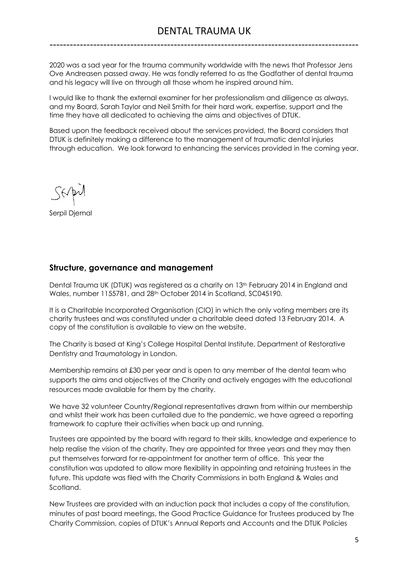2020 was a sad year for the trauma community worldwide with the news that Professor Jens Ove Andreasen passed away. He was fondly referred to as the Godfather of dental trauma and his legacy will live on through all those whom he inspired around him.

I would like to thank the external examiner for her professionalism and diligence as always, and my Board, Sarah Taylor and Neil Smith for their hard work, expertise, support and the time they have all dedicated to achieving the aims and objectives of DTUK.

Based upon the feedback received about the services provided, the Board considers that DTUK is definitely making a difference to the management of traumatic dental injuries through education. We look forward to enhancing the services provided in the coming year.

Serpil Djemal

# **Structure, governance and management**

Dental Trauma UK (DTUK) was registered as a charity on 13<sup>th</sup> February 2014 in England and Wales, number 1155781, and 28th October 2014 in Scotland, SC045190.

It is a Charitable Incorporated Organisation (CIO) in which the only voting members are its charity trustees and was constituted under a charitable deed dated 13 February 2014. A copy of the constitution is available to view on the website.

The Charity is based at King's College Hospital Dental Institute, Department of Restorative Dentistry and Traumatology in London.

Membership remains at £30 per year and is open to any member of the dental team who supports the aims and objectives of the Charity and actively engages with the educational resources made available for them by the charity.

We have 32 volunteer Country/Regional representatives drawn from within our membership and whilst their work has been curtailed due to the pandemic, we have agreed a reporting framework to capture their activities when back up and running.

Trustees are appointed by the board with regard to their skills, knowledge and experience to help realise the vision of the charity. They are appointed for three years and they may then put themselves forward for re-appointment for another term of office. This year the constitution was updated to allow more flexibility in appointing and retaining trustees in the future. This update was filed with the Charity Commissions in both England & Wales and Scotland.

New Trustees are provided with an induction pack that includes a copy of the constitution, minutes of past board meetings, the Good Practice Guidance for Trustees produced by The Charity Commission, copies of DTUK's Annual Reports and Accounts and the DTUK Policies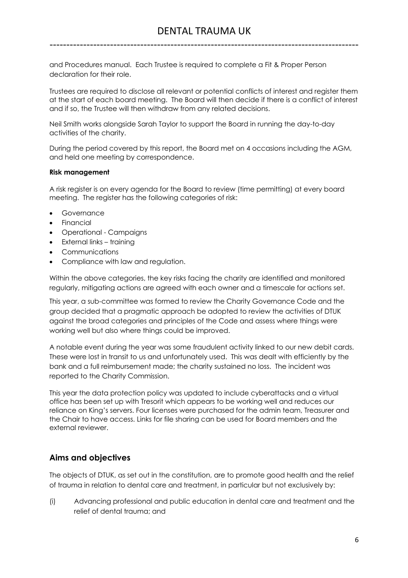and Procedures manual. Each Trustee is required to complete a Fit & Proper Person declaration for their role.

Trustees are required to disclose all relevant or potential conflicts of interest and register them at the start of each board meeting. The Board will then decide if there is a conflict of interest and if so, the Trustee will then withdraw from any related decisions.

Neil Smith works alongside Sarah Taylor to support the Board in running the day-to-day activities of the charity.

During the period covered by this report, the Board met on 4 occasions including the AGM, and held one meeting by correspondence.

#### **Risk management**

A risk register is on every agenda for the Board to review (time permitting) at every board meeting. The register has the following categories of risk:

- **Governance**
- Financial
- Operational Campaigns
- External links training
- Communications
- Compliance with law and regulation.

Within the above categories, the key risks facing the charity are identified and monitored regularly, mitigating actions are agreed with each owner and a timescale for actions set.

This year, a sub-committee was formed to review the Charity Governance Code and the group decided that a pragmatic approach be adopted to review the activities of DTUK against the broad categories and principles of the Code and assess where things were working well but also where things could be improved.

A notable event during the year was some fraudulent activity linked to our new debit cards. These were lost in transit to us and unfortunately used. This was dealt with efficiently by the bank and a full reimbursement made; the charity sustained no loss. The incident was reported to the Charity Commission.

This year the data protection policy was updated to include cyberattacks and a virtual office has been set up with Tresorit which appears to be working well and reduces our reliance on King's servers. Four licenses were purchased for the admin team, Treasurer and the Chair to have access. Links for file sharing can be used for Board members and the external reviewer.

# **Aims and objectives**

The objects of DTUK, as set out in the constitution, are to promote good health and the relief of trauma in relation to dental care and treatment, in particular but not exclusively by:

(i) Advancing professional and public education in dental care and treatment and the relief of dental trauma; and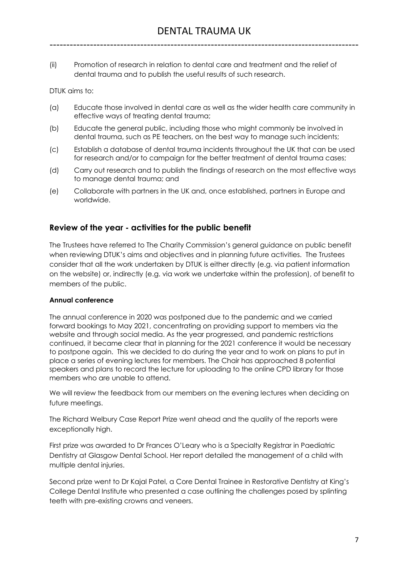(ii) Promotion of research in relation to dental care and treatment and the relief of dental trauma and to publish the useful results of such research.

DTUK aims to:

- (a) Educate those involved in dental care as well as the wider health care community in effective ways of treating dental trauma;
- (b) Educate the general public, including those who might commonly be involved in dental trauma, such as PE teachers, on the best way to manage such incidents;
- (c) Establish a database of dental trauma incidents throughout the UK that can be used for research and/or to campaign for the better treatment of dental trauma cases;
- (d) Carry out research and to publish the findings of research on the most effective ways to manage dental trauma; and
- (e) Collaborate with partners in the UK and, once established, partners in Europe and worldwide.

## **Review of the year - activities for the public benefit**

The Trustees have referred to The Charity Commission's general guidance on public benefit when reviewing DTUK's aims and objectives and in planning future activities. The Trustees consider that all the work undertaken by DTUK is either directly (e.g. via patient information on the website) or, indirectly (e.g. via work we undertake within the profession), of benefit to members of the public.

#### **Annual conference**

The annual conference in 2020 was postponed due to the pandemic and we carried forward bookings to May 2021, concentrating on providing support to members via the website and through social media. As the year progressed, and pandemic restrictions continued, it became clear that in planning for the 2021 conference it would be necessary to postpone again. This we decided to do during the year and to work on plans to put in place a series of evening lectures for members. The Chair has approached 8 potential speakers and plans to record the lecture for uploading to the online CPD library for those members who are unable to attend.

We will review the feedback from our members on the evening lectures when deciding on future meetings.

The Richard Welbury Case Report Prize went ahead and the quality of the reports were exceptionally high.

First prize was awarded to Dr Frances O'Leary who is a Specialty Registrar in Paediatric Dentistry at Glasgow Dental School. Her report detailed the management of a child with multiple dental injuries.

Second prize went to Dr Kajal Patel, a Core Dental Trainee in Restorative Dentistry at King's College Dental Institute who presented a case outlining the challenges posed by splinting teeth with pre-existing crowns and veneers.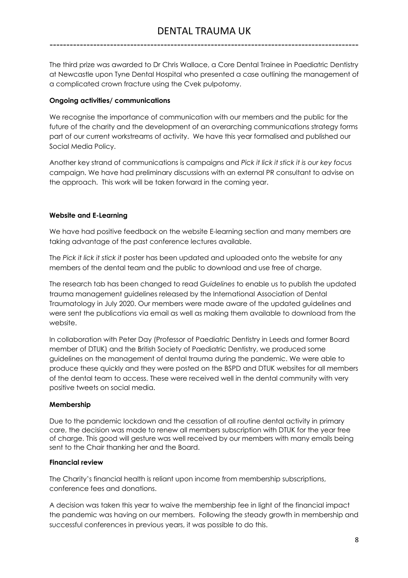The third prize was awarded to Dr Chris Wallace, a Core Dental Trainee in Paediatric Dentistry at Newcastle upon Tyne Dental Hospital who presented a case outlining the management of a complicated crown fracture using the Cvek pulpotomy.

# **Ongoing activities/ communications**

We recognise the importance of communication with our members and the public for the future of the charity and the development of an overarching communications strategy forms part of our current workstreams of activity. We have this year formalised and published our Social Media Policy.

Another key strand of communications is campaigns and *Pick it lick it stick it is our key focus* campaign. We have had preliminary discussions with an external PR consultant to advise on the approach. This work will be taken forward in the coming year.

# **Website and E-Learning**

We have had positive feedback on the website E-learning section and many members are taking advantage of the past conference lectures available.

The *Pick it lick it stick it* poster has been updated and uploaded onto the website for any members of the dental team and the public to download and use free of charge.

The research tab has been changed to read *Guidelines* to enable us to publish the updated trauma management guidelines released by the International Association of Dental Traumatology in July 2020. Our members were made aware of the updated guidelines and were sent the publications via email as well as making them available to download from the website.

In collaboration with Peter Day (Professor of Paediatric Dentistry in Leeds and former Board member of DTUK) and the British Society of Paediatric Dentistry, we produced some guidelines on the management of dental trauma during the pandemic. We were able to produce these quickly and they were posted on the BSPD and DTUK websites for all members of the dental team to access. These were received well in the dental community with very positive tweets on social media.

# **Membership**

Due to the pandemic lockdown and the cessation of all routine dental activity in primary care, the decision was made to renew all members subscription with DTUK for the year free of charge. This good will gesture was well received by our members with many emails being sent to the Chair thanking her and the Board.

# **Financial review**

The Charity's financial health is reliant upon income from membership subscriptions, conference fees and donations.

A decision was taken this year to waive the membership fee in light of the financial impact the pandemic was having on our members. Following the steady growth in membership and successful conferences in previous years, it was possible to do this.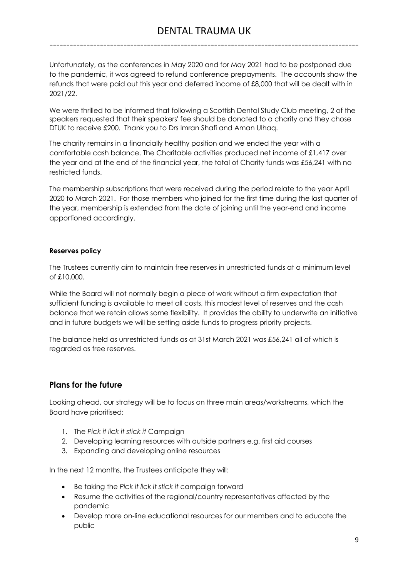# DENTAL TRAUMA UK

--------------------------------------------------------------------------------------------

Unfortunately, as the conferences in May 2020 and for May 2021 had to be postponed due to the pandemic, it was agreed to refund conference prepayments. The accounts show the refunds that were paid out this year and deferred income of £8,000 that will be dealt with in 2021/22.

We were thrilled to be informed that following a Scottish Dental Study Club meeting, 2 of the speakers requested that their speakers' fee should be donated to a charity and they chose DTUK to receive £200. Thank you to Drs Imran Shafi and Aman Ulhaq.

The charity remains in a financially healthy position and we ended the year with a comfortable cash balance. The Charitable activities produced net income of £1,417 over the year and at the end of the financial year, the total of Charity funds was £56,241 with no restricted funds.

The membership subscriptions that were received during the period relate to the year April 2020 to March 2021. For those members who joined for the first time during the last quarter of the year, membership is extended from the date of joining until the year-end and income apportioned accordingly.

#### **Reserves policy**

The Trustees currently aim to maintain free reserves in unrestricted funds at a minimum level of £10,000.

While the Board will not normally begin a piece of work without a firm expectation that sufficient funding is available to meet all costs, this modest level of reserves and the cash balance that we retain allows some flexibility. It provides the ability to underwrite an initiative and in future budgets we will be setting aside funds to progress priority projects.

The balance held as unrestricted funds as at 31st March 2021 was £56,241 all of which is regarded as free reserves.

# **Plans for the future**

Looking ahead, our strategy will be to focus on three main areas/workstreams, which the Board have prioritised:

- 1. The *Pick it lick it stick it* Campaign
- 2. Developing learning resources with outside partners e.g. first aid courses
- 3. Expanding and developing online resources

In the next 12 months, the Trustees anticipate they will:

- Be taking the *Pick it lick it stick it* campaign forward
- Resume the activities of the regional/country representatives affected by the pandemic
- Develop more on-line educational resources for our members and to educate the public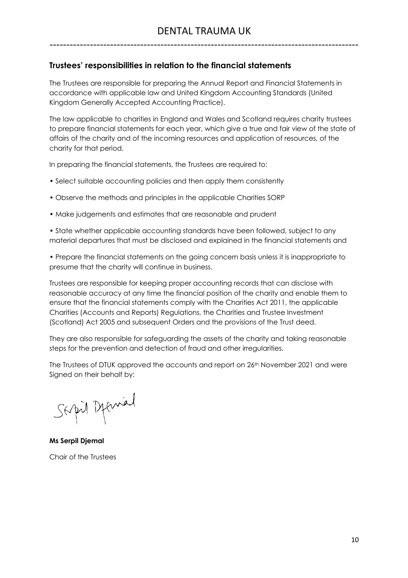# **Trustees' responsibilities in relation to the financial statements**

The Trustees are responsible for preparing the Annual Report and Financial Statements in accordance with applicable law and United Kingdom Accounting Standards (United Kingdom Generally Accepted Accounting Practice).

The law applicable to charities in England and Wales and Scotland requires charity trustees to prepare financial statements for each year, which give a true and fair view of the state of affairs of the charity and of the incoming resources and application of resources, of the charity for that period.

In preparing the financial statements, the Trustees are required to:

- Select suitable accounting policies and then apply them consistently
- Observe the methods and principles in the applicable Charities SORP
- Make judgements and estimates that are reasonable and prudent

• State whether applicable accounting standards have been followed, subject to any material departures that must be disclosed and explained in the financial statements and

• Prepare the financial statements on the going concern basis unless it is inappropriate to presume that the charity will continue in business.

Trustees are responsible for keeping proper accounting records that can disclose with reasonable accuracy at any time the financial position of the charity and enable them to ensure that the financial statements comply with the Charities Act 2011, the applicable Charities (Accounts and Reports) Regulations, the Charities and Trustee Investment (Scotland) Act 2005 and subsequent Orders and the provisions of the Trust deed.

They are also responsible for safeguarding the assets of the charity and taking reasonable steps for the prevention and detection of fraud and other irregularities.

The Trustees of DTUK approved the accounts and report on 26<sup>th</sup> November 2021 and were Signed on their behalf by:

Sapil Deprival

**Ms Serpil Djemal** Chair of the Trustees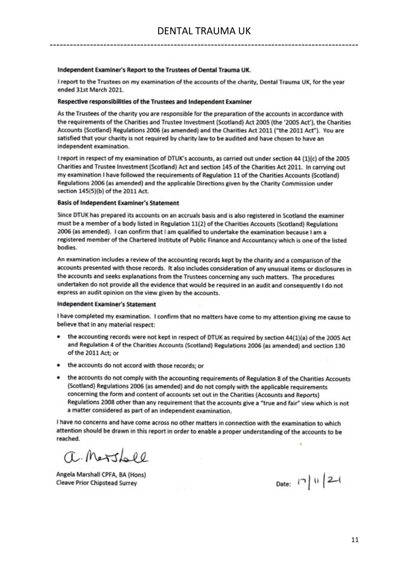#### Independent Examiner's Report to the Trustees of Dental Trauma UK.

I report to the Trustees on my examination of the accounts of the charity, Dental Trauma UK, for the year ended 31st March 2021.

#### Respective responsibilities of the Trustees and Independent Examiner

As the Trustees of the charity you are responsible for the preparation of the accounts in accordance with the requirements of the Charities and Trustee Investment (Scotland) Act 2005 (the '2005 Act'), the Charities Accounts (Scotland) Regulations 2006 (as amended) and the Charities Act 2011 ("the 2011 Act"). You are satisfied that your charity is not required by charity law to be audited and have chosen to have an independent examination.

I report in respect of my examination of DTUK's accounts, as carried out under section 44 (1)(c) of the 2005 Charities and Trustee Investment (Scotland) Act and section 145 of the Charities Act 2011. In carrying out my examination I have followed the requirements of Regulation 11 of the Charities Accounts (Scotland) Regulations 2006 (as amended) and the applicable Directions given by the Charity Commission under section 145(5)(b) of the 2011 Act.

#### **Basis of Independent Examiner's Statement**

Since DTUK has prepared its accounts on an accruals basis and is also registered in Scotland the examiner must be a member of a body listed in Regulation 11(2) of the Charities Accounts (Scotland) Regulations 2006 (as amended). I can confirm that I am qualified to undertake the examination because I am a registered member of the Chartered Institute of Public Finance and Accountancy which is one of the listed bodies.

An examination includes a review of the accounting records kept by the charity and a comparison of the accounts presented with those records. It also includes consideration of any unusual items or disclosures in the accounts and seeks explanations from the Trustees concerning any such matters. The procedures undertaken do not provide all the evidence that would be required in an audit and consequently I do not express an audit opinion on the view given by the accounts.

#### **Independent Examiner's Statement**

I have completed my examination. I confirm that no matters have come to my attention giving me cause to believe that in any material respect:

- the accounting records were not kept in respect of DTUK as required by section 44(1)(a) of the 2005 Act ٠ and Regulation 4 of the Charities Accounts (Scotland) Regulations 2006 (as amended) and section 130 of the 2011 Act; or
- the accounts do not accord with those records; or
- the accounts do not comply with the accounting requirements of Regulation 8 of the Charities Accounts (Scotland) Regulations 2006 (as amended) and do not comply with the applicable requirements concerning the form and content of accounts set out in the Charities (Accounts and Reports) Regulations 2008 other than any requirement that the accounts give a "true and fair" view which is not a matter considered as part of an independent examination.

I have no concerns and have come across no other matters in connection with the examination to which attention should be drawn in this report in order to enable a proper understanding of the accounts to be reached. ×

a. Marshall

Angela Marshall CPFA, BA (Hons) **Cleave Prior Chipstead Surrey** 

Date:  $|7|1|21$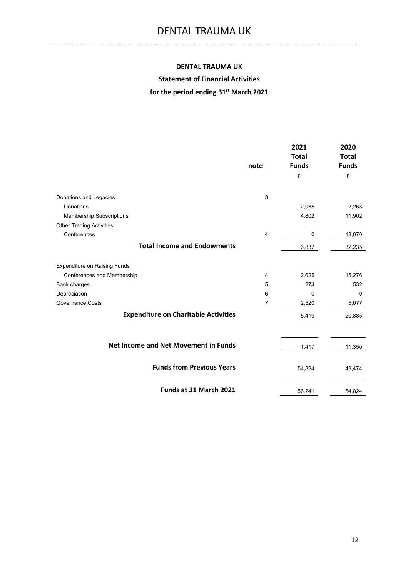#### **DENTAL TRAUMA UK**

--------------------------------------------------------------------------------------------

## **Statement of Financial Activities**

# **for the period ending 31st March 2021**

|                                             | note           | 2021<br><b>Total</b><br><b>Funds</b> | 2020<br><b>Total</b><br><b>Funds</b> |
|---------------------------------------------|----------------|--------------------------------------|--------------------------------------|
|                                             |                | £                                    | £                                    |
| Donations and Legacies                      | 3              |                                      |                                      |
| Donations                                   |                | 2,035                                | 2,263                                |
| <b>Membership Subscriptions</b>             |                | 4,802                                | 11,902                               |
| <b>Other Trading Activities</b>             |                |                                      |                                      |
| Conferences                                 | $\overline{4}$ | 0                                    | 18,070                               |
| <b>Total Income and Endowments</b>          |                | 6,837                                | 32,235                               |
| <b>Expenditure on Raising Funds</b>         |                |                                      |                                      |
| Conferences and Membership                  | 4              | 2,625                                | 15,276                               |
| Bank charges                                | 5              | 274                                  | 532                                  |
| Depreciation                                | 6              | $\Omega$                             | 0                                    |
| <b>Governance Costs</b>                     | 7              | 2,520                                | 5,077                                |
| <b>Expenditure on Charitable Activities</b> |                | 5,419                                | 20,885                               |
|                                             |                |                                      |                                      |
| <b>Net Income and Net Movement in Funds</b> |                | 1,417                                | 11,350                               |
| <b>Funds from Previous Years</b>            |                | 54,824                               | 43,474                               |
| Funds at 31 March 2021                      |                | 56,241                               | 54,824                               |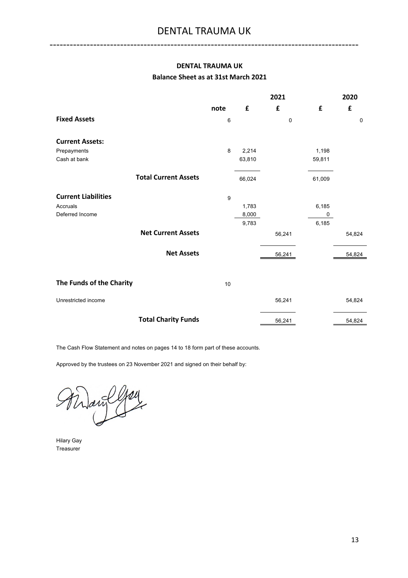## **DENTAL TRAUMA UK Balance Sheet as at 31st March 2021**

--------------------------------------------------------------------------------------------

|                             |      | 2021   |             |        | 2020        |
|-----------------------------|------|--------|-------------|--------|-------------|
|                             | note | £      | £           | £      | £           |
| <b>Fixed Assets</b>         | 6    |        | $\mathbf 0$ |        | $\mathbf 0$ |
| <b>Current Assets:</b>      |      |        |             |        |             |
| Prepayments                 | 8    | 2,214  |             | 1,198  |             |
| Cash at bank                |      | 63,810 |             | 59,811 |             |
| <b>Total Current Assets</b> |      | 66,024 |             | 61,009 |             |
| <b>Current Liabilities</b>  | 9    |        |             |        |             |
| Accruals                    |      | 1,783  |             | 6,185  |             |
| Deferred Income             |      | 8,000  |             | 0      |             |
|                             |      | 9,783  |             | 6,185  |             |
| <b>Net Current Assets</b>   |      |        | 56,241      |        | 54,824      |
| <b>Net Assets</b>           |      |        | 56,241      |        | 54,824      |
|                             |      |        |             |        |             |
| The Funds of the Charity    | 10   |        |             |        |             |
| Unrestricted income         |      |        | 56,241      |        | 54,824      |
| <b>Total Charity Funds</b>  |      |        | 56,241      |        | 54,824      |

The Cash Flow Statement and notes on pages 14 to 18 form part of these accounts.

Approved by the trustees on 23 November 2021 and signed on their behalf by:

 $\frac{1}{2}$ ari

Hilary Gay Treasurer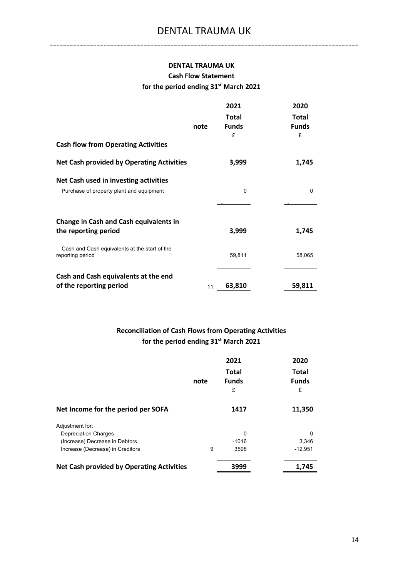# **DENTAL TRAUMA UK Cash Flow Statement for the period ending 31st March 2021**

|                                                                   |      | 2021         | 2020         |
|-------------------------------------------------------------------|------|--------------|--------------|
|                                                                   |      | <b>Total</b> | <b>Total</b> |
|                                                                   | note | <b>Funds</b> | <b>Funds</b> |
| <b>Cash flow from Operating Activities</b>                        |      | £            | £            |
| <b>Net Cash provided by Operating Activities</b>                  |      | 3,999        | 1,745        |
| Net Cash used in investing activities                             |      |              |              |
| Purchase of property plant and equipment                          |      | 0            | 0            |
|                                                                   |      |              |              |
| <b>Change in Cash and Cash equivalents in</b>                     |      |              |              |
| the reporting period                                              |      | 3,999        | 1,745        |
| Cash and Cash equivalents at the start of the<br>reporting period |      | 59,811       | 58,065       |
| Cash and Cash equivalents at the end                              |      |              |              |
| of the reporting period                                           | 11   | 63,810       | 59,811       |

# **Reconciliation of Cash Flows from Operating Activities for the period ending 31st March 2021**

|                                                  | note | 2021<br><b>Total</b><br><b>Funds</b><br>£ | 2020<br><b>Total</b><br><b>Funds</b><br>£ |
|--------------------------------------------------|------|-------------------------------------------|-------------------------------------------|
| Net Income for the period per SOFA               |      | 1417                                      | 11,350                                    |
| Adjustment for:                                  |      |                                           |                                           |
| <b>Depreciation Charges</b>                      |      | 0                                         | 0                                         |
| (Increase) Decrease in Debtors                   |      | $-1016$                                   | 3,346                                     |
| Increase (Decrease) in Creditors                 | 9    | 3598                                      | $-12,951$                                 |
| <b>Net Cash provided by Operating Activities</b> |      | 3999                                      | 1,745                                     |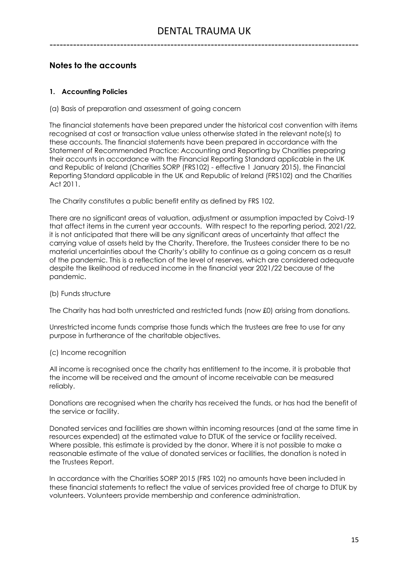# **Notes to the accounts**

## **1. Accounting Policies**

#### (a) Basis of preparation and assessment of going concern

The financial statements have been prepared under the historical cost convention with items recognised at cost or transaction value unless otherwise stated in the relevant note(s) to these accounts. The financial statements have been prepared in accordance with the Statement of Recommended Practice: Accounting and Reporting by Charities preparing their accounts in accordance with the Financial Reporting Standard applicable in the UK and Republic of Ireland (Charities SORP (FRS102) - effective 1 January 2015), the Financial Reporting Standard applicable in the UK and Republic of Ireland (FRS102) and the Charities Act 2011.

The Charity constitutes a public benefit entity as defined by FRS 102.

There are no significant areas of valuation, adjustment or assumption impacted by Coivd-19 that affect items in the current year accounts. With respect to the reporting period, 2021/22, it is not anticipated that there will be any significant areas of uncertainty that affect the carrying value of assets held by the Charity. Therefore, the Trustees consider there to be no material uncertainties about the Charity's ability to continue as a going concern as a result of the pandemic. This is a reflection of the level of reserves, which are considered adequate despite the likelihood of reduced income in the financial year 2021/22 because of the pandemic.

#### (b) Funds structure

The Charity has had both unrestricted and restricted funds (now £0) arising from donations.

Unrestricted income funds comprise those funds which the trustees are free to use for any purpose in furtherance of the charitable objectives.

#### (c) Income recognition

All income is recognised once the charity has entitlement to the income, it is probable that the income will be received and the amount of income receivable can be measured reliably.

Donations are recognised when the charity has received the funds, or has had the benefit of the service or facility.

Donated services and facilities are shown within incoming resources (and at the same time in resources expended) at the estimated value to DTUK of the service or facility received. Where possible, this estimate is provided by the donor. Where it is not possible to make a reasonable estimate of the value of donated services or facilities, the donation is noted in the Trustees Report.

In accordance with the Charities SORP 2015 (FRS 102) no amounts have been included in these financial statements to reflect the value of services provided free of charge to DTUK by volunteers. Volunteers provide membership and conference administration.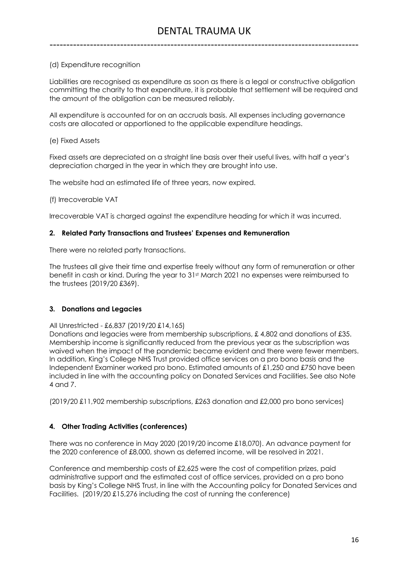### (d) Expenditure recognition

Liabilities are recognised as expenditure as soon as there is a legal or constructive obligation committing the charity to that expenditure, it is probable that settlement will be required and the amount of the obligation can be measured reliably.

All expenditure is accounted for on an accruals basis. All expenses including governance costs are allocated or apportioned to the applicable expenditure headings.

#### (e) Fixed Assets

Fixed assets are depreciated on a straight line basis over their useful lives, with half a year's depreciation charged in the year in which they are brought into use.

The website had an estimated life of three years, now expired.

(f) Irrecoverable VAT

Irrecoverable VAT is charged against the expenditure heading for which it was incurred.

#### **2. Related Party Transactions and Trustees' Expenses and Remuneration**

There were no related party transactions.

The trustees all give their time and expertise freely without any form of remuneration or other benefit in cash or kind. During the year to 31st March 2021 no expenses were reimbursed to the trustees (2019/20 £369).

#### **3. Donations and Legacies**

All Unrestricted - £6,837 (2019/20 £14,165)

Donations and legacies were from membership subscriptions, £4,802 and donations of £35. Membership income is significantly reduced from the previous year as the subscription was waived when the impact of the pandemic became evident and there were fewer members. In addition, King's College NHS Trust provided office services on a pro bono basis and the Independent Examiner worked pro bono. Estimated amounts of £1,250 and £750 have been included in line with the accounting policy on Donated Services and Facilities. See also Note 4 and 7.

(2019/20 £11,902 membership subscriptions, £263 donation and £2,000 pro bono services)

### **4. Other Trading Activities (conferences)**

There was no conference in May 2020 (2019/20 income £18,070). An advance payment for the 2020 conference of £8,000, shown as deferred income, will be resolved in 2021.

Conference and membership costs of £2,625 were the cost of competition prizes, paid administrative support and the estimated cost of office services, provided on a pro bono basis by King's College NHS Trust, in line with the Accounting policy for Donated Services and Facilities. (2019/20 £15,276 including the cost of running the conference)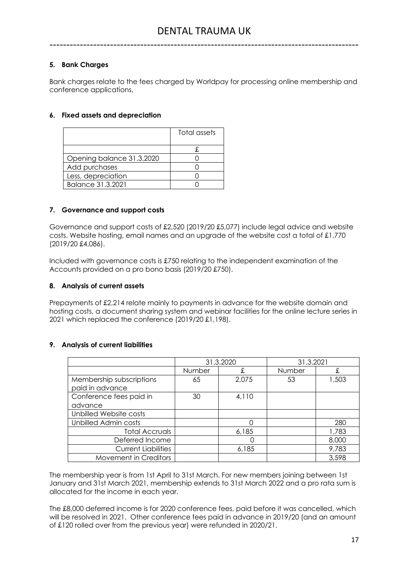## **5. Bank Charges**

Bank charges relate to the fees charged by Worldpay for processing online membership and conference applications.

#### **6. Fixed assets and depreciation**

|                           | Total assets |
|---------------------------|--------------|
|                           |              |
| Opening balance 31.3.2020 |              |
| Add purchases             |              |
| Less, depreciation        |              |
| Balance 31.3.2021         |              |

#### **7. Governance and support costs**

Governance and support costs of £2,520 (2019/20 £5,077) include legal advice and website costs. Website hosting, email names and an upgrade of the website cost a total of £1,770 (2019/20 £4,086).

Included with governance costs is £750 relating to the independent examination of the Accounts provided on a pro bono basis (2019/20 £750).

#### **8. Analysis of current assets**

Prepayments of £2,214 relate mainly to payments in advance for the website domain and hosting costs, a document sharing system and webinar facilities for the online lecture series in 2021 which replaced the conference (2019/20 £1,198).

#### **9. Analysis of current liabilities**

|                             | 31.3.2020 |       | 31.3.2021 |       |
|-----------------------------|-----------|-------|-----------|-------|
|                             | Number    | £     | Number    | £     |
| Membership subscriptions    | 65        | 2,075 | 53        | 1,503 |
| paid in advance             |           |       |           |       |
| Conference fees paid in     | 30        | 4,110 |           |       |
| advance                     |           |       |           |       |
| Unbilled Website costs      |           |       |           |       |
| <b>Unbilled Admin costs</b> |           |       |           | 280   |
| <b>Total Accruals</b>       |           | 6,185 |           | 1,783 |
| Deferred Income             |           |       |           | 8,000 |
| <b>Current Liabilities</b>  |           | 6,185 |           | 9,783 |
| Movement in Creditors       |           |       |           | 3,598 |

The membership year is from 1st April to 31st March. For new members joining between 1st January and 31st March 2021, membership extends to 31st March 2022 and a pro rata sum is allocated for the income in each year.

The £8,000 deferred income is for 2020 conference fees, paid before it was cancelled, which will be resolved in 2021. Other conference fees paid in advance in 2019/20 (and an amount of £120 rolled over from the previous year) were refunded in 2020/21.